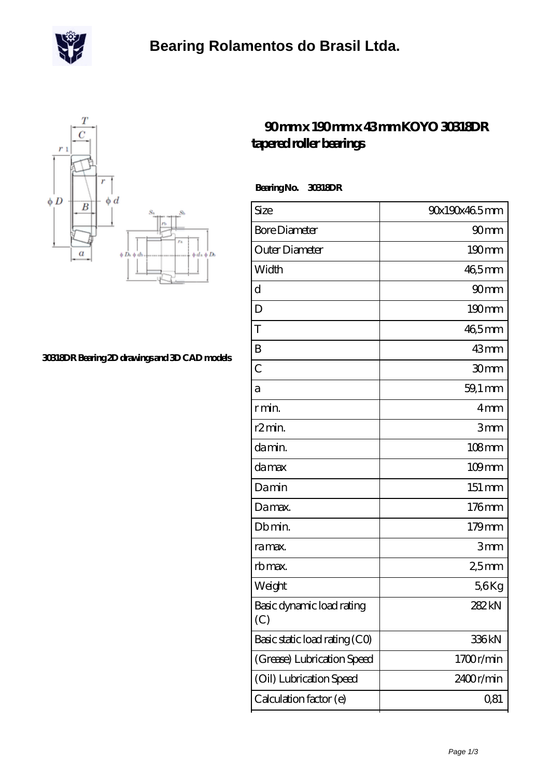



## **[30318DR Bearing 2D drawings and 3D CAD models](https://m.scottrobertalexander.com/pic-539152.html)**

## **[90 mm x 190 mm x 43 mm KOYO 30318DR](https://m.scottrobertalexander.com/koyo-30318dr-bearing/) [tapered roller bearings](https://m.scottrobertalexander.com/koyo-30318dr-bearing/)**

 **Bearing No. 30318DR**

| Size                             | 90x190x465mm     |
|----------------------------------|------------------|
| <b>Bore Diameter</b>             | 90 <sub>mm</sub> |
| Outer Diameter                   | $190 \text{mm}$  |
| Width                            | 46,5mm           |
| d                                | 90mm             |
| D                                | $190 \text{mm}$  |
| T                                | 46,5mm           |
| B                                | 43mm             |
| $\overline{C}$                   | 30mm             |
| а                                | 59,1 mm          |
| r min.                           | 4mm              |
| r <sub>2</sub> min.              | 3mm              |
| da min.                          | $108$ mm         |
| damax                            | $109$ mm         |
| Damin                            | 151 mm           |
| Damax.                           | 176mm            |
| Db min.                          | 179mm            |
| ra max.                          | 3mm              |
| rb max.                          | 25 <sub>mm</sub> |
| Weight                           | 56Kg             |
| Basic dynamic load rating<br>(C) | 282kN            |
| Basic static load rating (CO)    | 336kN            |
| (Grease) Lubrication Speed       | 1700r/min        |
| (Oil) Lubrication Speed          | 2400r/min        |
| Calculation factor (e)           | Q81              |
|                                  |                  |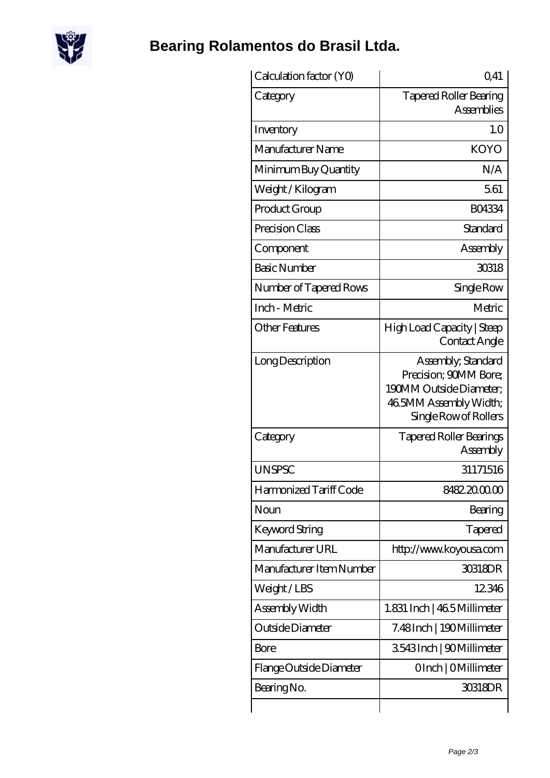

## **[Bearing Rolamentos do Brasil Ltda.](https://m.scottrobertalexander.com)**

| Calculation factor (YO)  | Q <sub>41</sub>                                                                                                           |
|--------------------------|---------------------------------------------------------------------------------------------------------------------------|
| Category                 | <b>Tapered Roller Bearing</b><br><b>Assemblies</b>                                                                        |
| Inventory                | 1.0                                                                                                                       |
| Manufacturer Name        | <b>KOYO</b>                                                                                                               |
| Minimum Buy Quantity     | N/A                                                                                                                       |
| Weight / Kilogram        | 561                                                                                                                       |
| Product Group            | <b>BO4334</b>                                                                                                             |
| Precision Class          | Standard                                                                                                                  |
| Component                | Assembly                                                                                                                  |
| <b>Basic Number</b>      | 30318                                                                                                                     |
| Number of Tapered Rows   | Single Row                                                                                                                |
| Inch - Metric            | Metric                                                                                                                    |
| <b>Other Features</b>    | High Load Capacity   Steep<br>Contact Angle                                                                               |
| Long Description         | Assembly, Standard<br>Precision; 90MM Bore;<br>190MM Outside Diameter:<br>46 5MM Assembly Width;<br>Single Row of Rollers |
| Category                 | <b>Tapered Roller Bearings</b><br>Assembly                                                                                |
| <b>UNSPSC</b>            | 31171516                                                                                                                  |
| Harmonized Tariff Code   | 8482.2000.00                                                                                                              |
| Noun                     | Bearing                                                                                                                   |
| <b>Keyword String</b>    | Tapered                                                                                                                   |
| Manufacturer URL         | http://www.koyousa.com                                                                                                    |
| Manufacturer Item Number | 30318DR                                                                                                                   |
| Weight/LBS               | 12346                                                                                                                     |
| Assembly Width           | 1.831 Inch   46.5 Millimeter                                                                                              |
| Outside Diameter         | 7.48Inch   190Millimeter                                                                                                  |
| <b>Bore</b>              | 3543Inch   90Millimeter                                                                                                   |
| Flange Outside Diameter  | OInch   OMillimeter                                                                                                       |
| Bearing No.              | 30318DR                                                                                                                   |
|                          |                                                                                                                           |